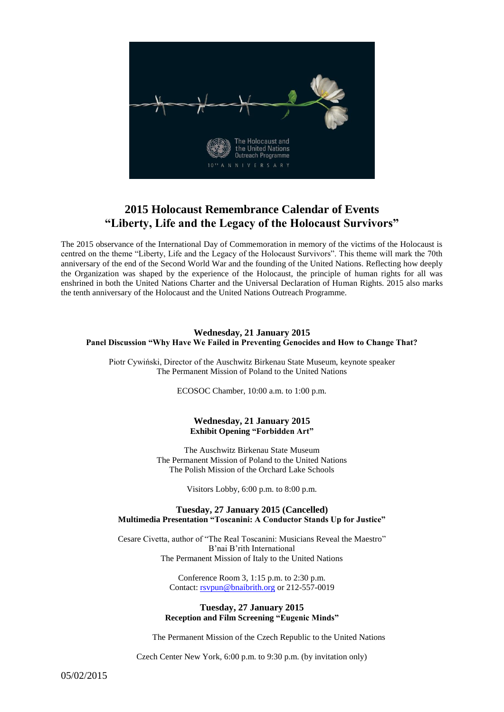

# **2015 Holocaust Remembrance Calendar of Events "Liberty, Life and the Legacy of the Holocaust Survivors"**

The 2015 observance of the International Day of Commemoration in memory of the victims of the Holocaust is centred on the theme "Liberty, Life and the Legacy of the Holocaust Survivors". This theme will mark the 70th anniversary of the end of the Second World War and the founding of the United Nations. Reflecting how deeply the Organization was shaped by the experience of the Holocaust, the principle of human rights for all was enshrined in both the United Nations Charter and the Universal Declaration of Human Rights. 2015 also marks the tenth anniversary of the Holocaust and the United Nations Outreach Programme.

## **Wednesday, 21 January 2015 Panel Discussion "Why Have We Failed in Preventing Genocides and How to Change That?**

Piotr Cywiński, Director of the Auschwitz Birkenau State Museum, keynote speaker The Permanent Mission of Poland to the United Nations

ECOSOC Chamber, 10:00 a.m. to 1:00 p.m.

## **Wednesday, 21 January 2015 Exhibit Opening "Forbidden Art"**

The Auschwitz Birkenau State Museum The Permanent Mission of Poland to the United Nations The Polish Mission of the Orchard Lake Schools

Visitors Lobby, 6:00 p.m. to 8:00 p.m.

## **Tuesday, 27 January 2015 (Cancelled) Multimedia Presentation "Toscanini: A Conductor Stands Up for Justice"**

Cesare Civetta, author of "The Real Toscanini: Musicians Reveal the Maestro" B'nai B'rith International The Permanent Mission of Italy to the United Nations

> Conference Room 3, 1:15 p.m. to 2:30 p.m. Contact[: rsvpun@bnaibrith.org](mailto:rsvpun@bnaibrith.org) or 212-557-0019

## **Tuesday, 27 January 2015 Reception and Film Screening "Eugenic Minds"**

The Permanent Mission of the Czech Republic to the United Nations

Czech Center New York, 6:00 p.m. to 9:30 p.m. (by invitation only)